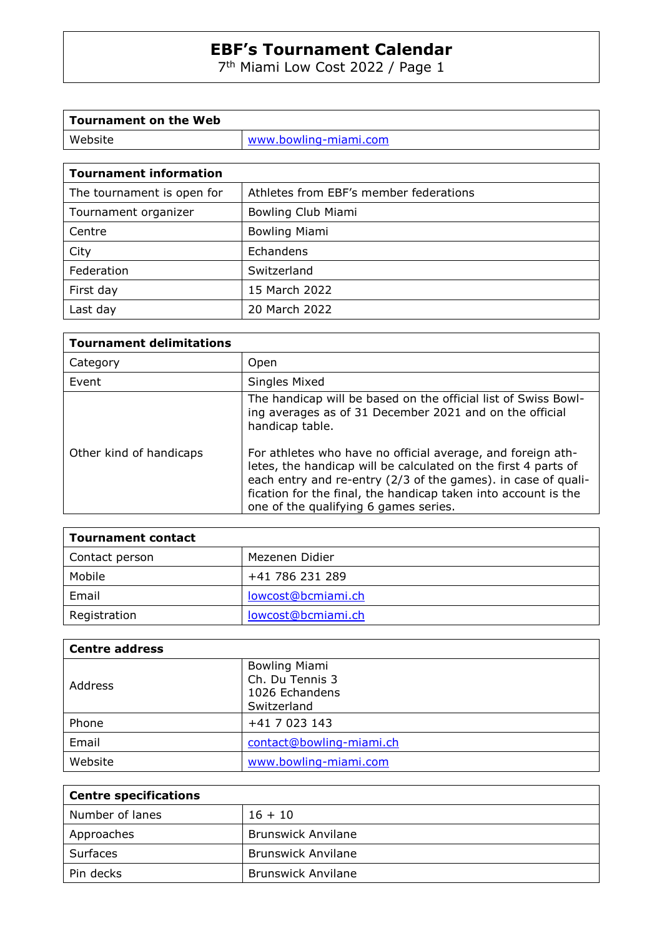7 th Miami Low Cost 2022 / Page 1

| Tournament on the Web |                       |
|-----------------------|-----------------------|
| Website               | www.bowling-miami.com |
|                       |                       |

| The tournament is open for | Athletes from EBF's member federations |
|----------------------------|----------------------------------------|
| Tournament organizer       | Bowling Club Miami                     |
| Centre                     | <b>Bowling Miami</b>                   |
| City                       | Echandens                              |
| Federation                 | Switzerland                            |
| First day                  | 15 March 2022                          |
| Last day                   | 20 March 2022                          |

| <b>Tournament delimitations</b> |                                                                                                                                                                                                                                                                                                           |
|---------------------------------|-----------------------------------------------------------------------------------------------------------------------------------------------------------------------------------------------------------------------------------------------------------------------------------------------------------|
| Category                        | Open                                                                                                                                                                                                                                                                                                      |
| Event                           | Singles Mixed                                                                                                                                                                                                                                                                                             |
|                                 | The handicap will be based on the official list of Swiss Bowl-<br>ing averages as of 31 December 2021 and on the official<br>handicap table.                                                                                                                                                              |
| Other kind of handicaps         | For athletes who have no official average, and foreign ath-<br>letes, the handicap will be calculated on the first 4 parts of<br>each entry and re-entry (2/3 of the games). in case of quali-<br>fication for the final, the handicap taken into account is the<br>one of the qualifying 6 games series. |

| <b>Tournament contact</b> |                    |
|---------------------------|--------------------|
| Contact person            | Mezenen Didier     |
| Mobile                    | +41 786 231 289    |
| Email                     | lowcost@bcmiami.ch |
| Registration              | lowcost@bcmiami.ch |

| <b>Centre address</b> |                                                                          |
|-----------------------|--------------------------------------------------------------------------|
| Address               | <b>Bowling Miami</b><br>Ch. Du Tennis 3<br>1026 Echandens<br>Switzerland |
| Phone                 | +41 7 023 143                                                            |
| Email                 | contact@bowling-miami.ch                                                 |
| Website               | www.bowling-miami.com                                                    |

| <b>Centre specifications</b> |                           |
|------------------------------|---------------------------|
| Number of lanes              | $16 + 10$                 |
| Approaches                   | <b>Brunswick Anvilane</b> |
| Surfaces                     | <b>Brunswick Anvilane</b> |
| Pin decks                    | <b>Brunswick Anvilane</b> |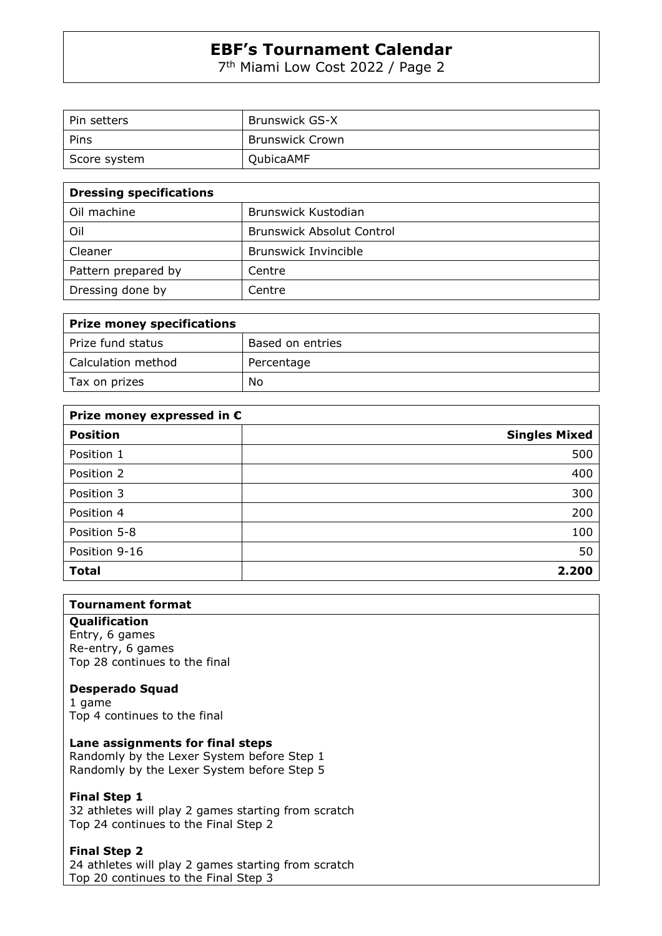7 th Miami Low Cost 2022 / Page 2

| Pin setters  | <b>Brunswick GS-X</b> |
|--------------|-----------------------|
| Pins         | Brunswick Crown       |
| Score system | QubicaAMF             |

| <b>Dressing specifications</b> |                                  |
|--------------------------------|----------------------------------|
| Oil machine                    | Brunswick Kustodian              |
| Oil                            | <b>Brunswick Absolut Control</b> |
| Cleaner                        | Brunswick Invincible             |
| Pattern prepared by            | Centre                           |
| Dressing done by               | Centre                           |

| <b>Prize money specifications</b> |                  |
|-----------------------------------|------------------|
| Prize fund status                 | Based on entries |
| Calculation method                | Percentage       |
| Tax on prizes                     | No               |

| Prize money expressed in $\epsilon$ |                      |
|-------------------------------------|----------------------|
| <b>Position</b>                     | <b>Singles Mixed</b> |
| Position 1                          | 500                  |
| Position 2                          | 400                  |
| Position 3                          | 300                  |
| Position 4                          | 200                  |
| Position 5-8                        | 100                  |
| Position 9-16                       | 50                   |
| <b>Total</b>                        | 2.200                |

# **Tournament format**

## **Qualification**

Entry, 6 games Re-entry, 6 games Top 28 continues to the final

#### **Desperado Squad**

1 game Top 4 continues to the final

# **Lane assignments for final steps**

Randomly by the Lexer System before Step 1 Randomly by the Lexer System before Step 5

#### **Final Step 1**

32 athletes will play 2 games starting from scratch Top 24 continues to the Final Step 2

#### **Final Step 2**

24 athletes will play 2 games starting from scratch Top 20 continues to the Final Step 3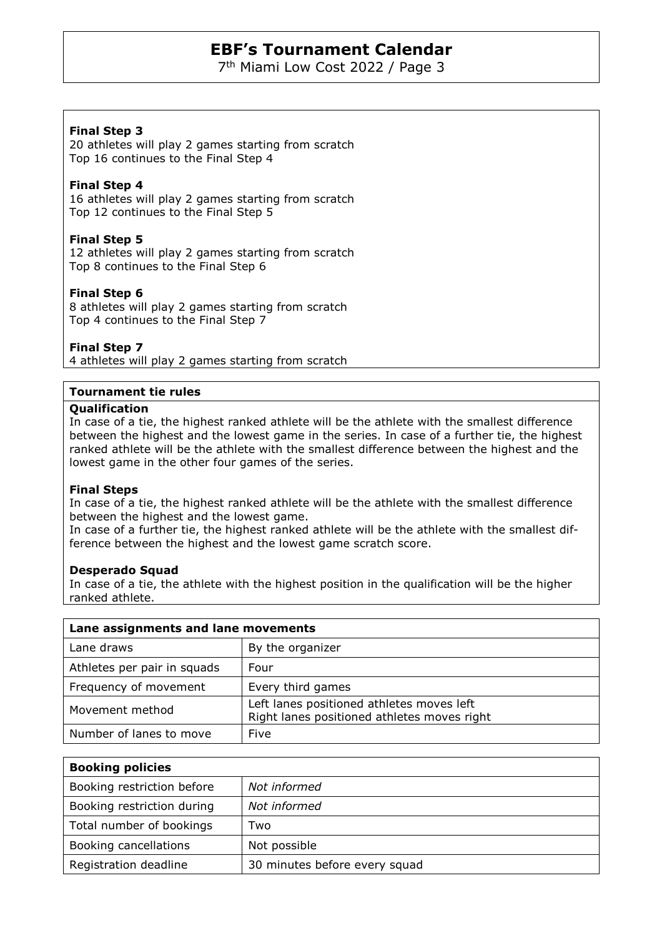7 th Miami Low Cost 2022 / Page 3

# **Final Step 3**

20 athletes will play 2 games starting from scratch Top 16 continues to the Final Step 4

## **Final Step 4**

16 athletes will play 2 games starting from scratch Top 12 continues to the Final Step 5

## **Final Step 5**

12 athletes will play 2 games starting from scratch Top 8 continues to the Final Step 6

## **Final Step 6**

8 athletes will play 2 games starting from scratch Top 4 continues to the Final Step 7

## **Final Step 7**

4 athletes will play 2 games starting from scratch

#### **Tournament tie rules**

#### **Qualification**

In case of a tie, the highest ranked athlete will be the athlete with the smallest difference between the highest and the lowest game in the series. In case of a further tie, the highest ranked athlete will be the athlete with the smallest difference between the highest and the lowest game in the other four games of the series.

#### **Final Steps**

In case of a tie, the highest ranked athlete will be the athlete with the smallest difference between the highest and the lowest game.

In case of a further tie, the highest ranked athlete will be the athlete with the smallest difference between the highest and the lowest game scratch score.

#### **Desperado Squad**

In case of a tie, the athlete with the highest position in the qualification will be the higher ranked athlete.

| Lane assignments and lane movements |                                                                                          |
|-------------------------------------|------------------------------------------------------------------------------------------|
| Lane draws                          | By the organizer                                                                         |
| Athletes per pair in squads         | Four                                                                                     |
| Frequency of movement               | Every third games                                                                        |
| Movement method                     | Left lanes positioned athletes moves left<br>Right lanes positioned athletes moves right |
| Number of lanes to move             | Five                                                                                     |

| <b>Booking policies</b>    |                               |  |  |
|----------------------------|-------------------------------|--|--|
| Booking restriction before | Not informed                  |  |  |
| Booking restriction during | Not informed                  |  |  |
| Total number of bookings   | Two                           |  |  |
| Booking cancellations      | Not possible                  |  |  |
| Registration deadline      | 30 minutes before every squad |  |  |